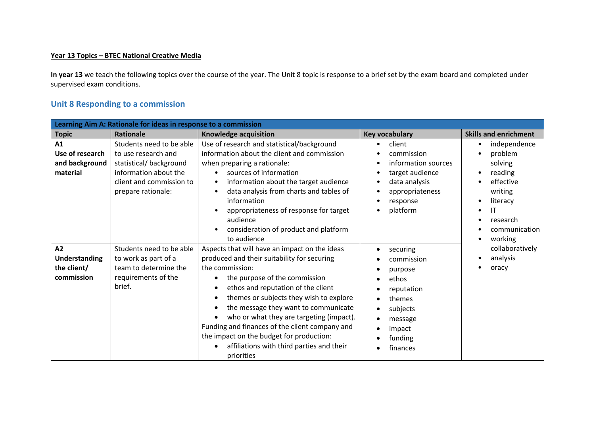## **Year 13 Topics – BTEC National Creative Media**

**In year 13** we teach the following topics over the course of the year. The Unit 8 topic is response to a brief set by the exam board and completed under supervised exam conditions.

## **Unit 8 Responding to a commission**

| Learning Aim A: Rationale for ideas in response to a commission |                                                                                                                                                      |                                                                                                                                                                                                                                                                                                                                                                                                                                                                                |                                                                                                                                                                                |                                                                                                                                           |
|-----------------------------------------------------------------|------------------------------------------------------------------------------------------------------------------------------------------------------|--------------------------------------------------------------------------------------------------------------------------------------------------------------------------------------------------------------------------------------------------------------------------------------------------------------------------------------------------------------------------------------------------------------------------------------------------------------------------------|--------------------------------------------------------------------------------------------------------------------------------------------------------------------------------|-------------------------------------------------------------------------------------------------------------------------------------------|
| <b>Topic</b>                                                    | Rationale                                                                                                                                            | Knowledge acquisition                                                                                                                                                                                                                                                                                                                                                                                                                                                          | <b>Key vocabulary</b>                                                                                                                                                          | <b>Skills and enrichment</b>                                                                                                              |
| A1<br>Use of research<br>and background<br>material             | Students need to be able<br>to use research and<br>statistical/background<br>information about the<br>client and commission to<br>prepare rationale: | Use of research and statistical/background<br>information about the client and commission<br>when preparing a rationale:<br>sources of information<br>information about the target audience<br>$\bullet$<br>data analysis from charts and tables of<br>$\bullet$<br>information<br>appropriateness of response for target<br>audience<br>consideration of product and platform<br>to audience                                                                                  | client<br>commission<br>information sources<br>target audience<br>$\bullet$<br>data analysis<br>$\bullet$<br>appropriateness<br>$\bullet$<br>response<br>platform<br>$\bullet$ | independence<br>problem<br>solving<br>reading<br>effective<br>writing<br>literacy<br>٠<br>IT<br>٠<br>research<br>communication<br>working |
| A2<br><b>Understanding</b><br>the client/<br>commission         | Students need to be able<br>to work as part of a<br>team to determine the<br>requirements of the<br>brief.                                           | Aspects that will have an impact on the ideas<br>produced and their suitability for securing<br>the commission:<br>the purpose of the commission<br>ethos and reputation of the client<br>themes or subjects they wish to explore<br>the message they want to communicate<br>who or what they are targeting (impact).<br>Funding and finances of the client company and<br>the impact on the budget for production:<br>affiliations with third parties and their<br>priorities | securing<br>$\bullet$<br>commission<br>purpose<br>ethos<br>reputation<br>themes<br>subjects<br>message<br>impact<br>funding<br>finances                                        | collaboratively<br>analysis<br>oracy                                                                                                      |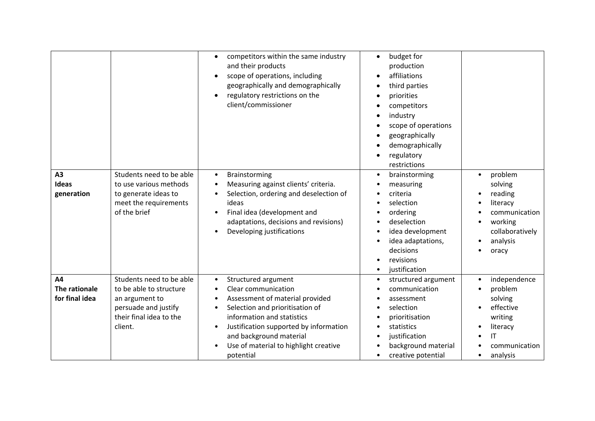| A3<br><b>Ideas</b><br>generation      | Students need to be able<br>to use various methods<br>to generate ideas to<br>meet the requirements<br>of the brief                 | competitors within the same industry<br>$\bullet$<br>and their products<br>scope of operations, including<br>$\bullet$<br>geographically and demographically<br>regulatory restrictions on the<br>$\bullet$<br>client/commissioner<br>Brainstorming<br>$\bullet$<br>Measuring against clients' criteria.<br>$\bullet$<br>Selection, ordering and deselection of<br>$\bullet$<br>ideas<br>Final idea (development and<br>$\bullet$<br>adaptations, decisions and revisions)<br>Developing justifications | budget for<br>$\bullet$<br>production<br>affiliations<br>$\bullet$<br>third parties<br>priorities<br>competitors<br>$\bullet$<br>industry<br>$\bullet$<br>scope of operations<br>$\bullet$<br>geographically<br>demographically<br>regulatory<br>restrictions<br>brainstorming<br>$\bullet$<br>measuring<br>criteria<br>selection<br>ordering<br>deselection<br>idea development<br>$\bullet$<br>idea adaptations,<br>decisions<br>revisions<br>justification | problem<br>solving<br>reading<br>literacy<br>communication<br>working<br>collaboratively<br>analysis<br>oracy                              |
|---------------------------------------|-------------------------------------------------------------------------------------------------------------------------------------|---------------------------------------------------------------------------------------------------------------------------------------------------------------------------------------------------------------------------------------------------------------------------------------------------------------------------------------------------------------------------------------------------------------------------------------------------------------------------------------------------------|---------------------------------------------------------------------------------------------------------------------------------------------------------------------------------------------------------------------------------------------------------------------------------------------------------------------------------------------------------------------------------------------------------------------------------------------------------------|--------------------------------------------------------------------------------------------------------------------------------------------|
| A4<br>The rationale<br>for final idea | Students need to be able<br>to be able to structure<br>an argument to<br>persuade and justify<br>their final idea to the<br>client. | Structured argument<br>$\bullet$<br>Clear communication<br>$\bullet$<br>Assessment of material provided<br>٠<br>Selection and prioritisation of<br>information and statistics<br>Justification supported by information<br>$\bullet$<br>and background material<br>Use of material to highlight creative<br>potential                                                                                                                                                                                   | structured argument<br>$\bullet$<br>communication<br>assessment<br>selection<br>prioritisation<br>statistics<br>justification<br>background material<br>creative potential<br>$\bullet$                                                                                                                                                                                                                                                                       | independence<br>problem<br>solving<br>effective<br>writing<br>literacy<br>$\mathsf{I}\mathsf{T}$<br>communication<br>analysis<br>$\bullet$ |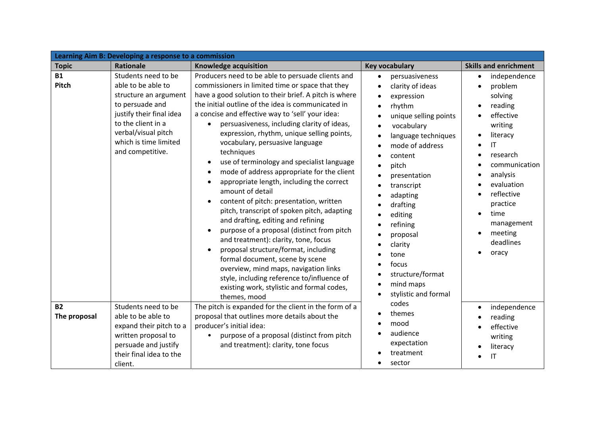| Learning Aim B: Developing a response to a commission |                                                                                                                                                                                                             |                                                                                                                                                                                                                                                                                                                                                                                                                                                                                                                                                                                                                                                                                                                                                                                                                                                                                                                                                                                                                                                        |                                                                                                                                                                                                                                                                                                                                               |                                                                                                                                                                                                                                                                                            |
|-------------------------------------------------------|-------------------------------------------------------------------------------------------------------------------------------------------------------------------------------------------------------------|--------------------------------------------------------------------------------------------------------------------------------------------------------------------------------------------------------------------------------------------------------------------------------------------------------------------------------------------------------------------------------------------------------------------------------------------------------------------------------------------------------------------------------------------------------------------------------------------------------------------------------------------------------------------------------------------------------------------------------------------------------------------------------------------------------------------------------------------------------------------------------------------------------------------------------------------------------------------------------------------------------------------------------------------------------|-----------------------------------------------------------------------------------------------------------------------------------------------------------------------------------------------------------------------------------------------------------------------------------------------------------------------------------------------|--------------------------------------------------------------------------------------------------------------------------------------------------------------------------------------------------------------------------------------------------------------------------------------------|
| <b>Topic</b>                                          | Rationale                                                                                                                                                                                                   | Knowledge acquisition                                                                                                                                                                                                                                                                                                                                                                                                                                                                                                                                                                                                                                                                                                                                                                                                                                                                                                                                                                                                                                  | <b>Key vocabulary</b>                                                                                                                                                                                                                                                                                                                         | <b>Skills and enrichment</b>                                                                                                                                                                                                                                                               |
| <b>B1</b><br>Pitch                                    | Students need to be<br>able to be able to<br>structure an argument<br>to persuade and<br>justify their final idea<br>to the client in a<br>verbal/visual pitch<br>which is time limited<br>and competitive. | Producers need to be able to persuade clients and<br>commissioners in limited time or space that they<br>have a good solution to their brief. A pitch is where<br>the initial outline of the idea is communicated in<br>a concise and effective way to 'sell' your idea:<br>persuasiveness, including clarity of ideas,<br>expression, rhythm, unique selling points,<br>vocabulary, persuasive language<br>techniques<br>use of terminology and specialist language<br>mode of address appropriate for the client<br>appropriate length, including the correct<br>amount of detail<br>content of pitch: presentation, written<br>$\bullet$<br>pitch, transcript of spoken pitch, adapting<br>and drafting, editing and refining<br>purpose of a proposal (distinct from pitch<br>and treatment): clarity, tone, focus<br>proposal structure/format, including<br>formal document, scene by scene<br>overview, mind maps, navigation links<br>style, including reference to/influence of<br>existing work, stylistic and formal codes,<br>themes, mood | persuasiveness<br>clarity of ideas<br>expression<br>rhythm<br>unique selling points<br>vocabulary<br>language techniques<br>mode of address<br>content<br>pitch<br>presentation<br>transcript<br>adapting<br>drafting<br>editing<br>refining<br>proposal<br>clarity<br>tone<br>focus<br>structure/format<br>mind maps<br>stylistic and formal | independence<br>$\bullet$<br>problem<br>solving<br>reading<br>$\bullet$<br>effective<br>writing<br>literacy<br>$\mathsf{I}\mathsf{T}$<br>research<br>communication<br>analysis<br>evaluation<br>reflective<br>practice<br>time<br>$\bullet$<br>management<br>meeting<br>deadlines<br>oracy |
| <b>B2</b><br>The proposal                             | Students need to be<br>able to be able to<br>expand their pitch to a<br>written proposal to<br>persuade and justify<br>their final idea to the<br>client.                                                   | The pitch is expanded for the client in the form of a<br>proposal that outlines more details about the<br>producer's initial idea:<br>purpose of a proposal (distinct from pitch<br>and treatment): clarity, tone focus                                                                                                                                                                                                                                                                                                                                                                                                                                                                                                                                                                                                                                                                                                                                                                                                                                | codes<br>themes<br>mood<br>audience<br>expectation<br>treatment<br>sector                                                                                                                                                                                                                                                                     | independence<br>$\bullet$<br>reading<br>effective<br>writing<br>literacy<br>ΙT                                                                                                                                                                                                             |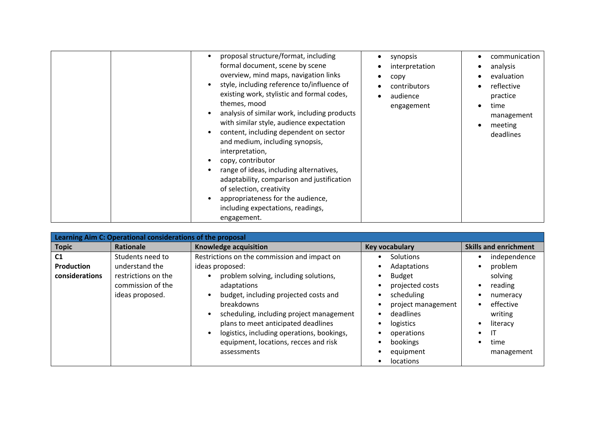|  | proposal structure/format, including<br>formal document, scene by scene<br>overview, mind maps, navigation links<br>style, including reference to/influence of<br>existing work, stylistic and formal codes,<br>themes, mood<br>analysis of similar work, including products<br>with similar style, audience expectation<br>content, including dependent on sector<br>and medium, including synopsis,<br>interpretation,<br>copy, contributor<br>range of ideas, including alternatives,<br>adaptability, comparison and justification<br>of selection, creativity<br>appropriateness for the audience,<br>including expectations, readings,<br>engagement. | synopsis<br>٠<br>interpretation<br>copy<br>contributors<br>audience<br>engagement | communication<br>analysis<br>evaluation<br>reflective<br>practice<br>time<br>management<br>meeting<br>deadlines |
|--|-------------------------------------------------------------------------------------------------------------------------------------------------------------------------------------------------------------------------------------------------------------------------------------------------------------------------------------------------------------------------------------------------------------------------------------------------------------------------------------------------------------------------------------------------------------------------------------------------------------------------------------------------------------|-----------------------------------------------------------------------------------|-----------------------------------------------------------------------------------------------------------------|
|--|-------------------------------------------------------------------------------------------------------------------------------------------------------------------------------------------------------------------------------------------------------------------------------------------------------------------------------------------------------------------------------------------------------------------------------------------------------------------------------------------------------------------------------------------------------------------------------------------------------------------------------------------------------------|-----------------------------------------------------------------------------------|-----------------------------------------------------------------------------------------------------------------|

| Learning Aim C: Operational considerations of the proposal |                                                                                                   |                                                                                                                                                                                                                                                                                                                                                          |                                                                                                                                                             |                                                                                                             |  |
|------------------------------------------------------------|---------------------------------------------------------------------------------------------------|----------------------------------------------------------------------------------------------------------------------------------------------------------------------------------------------------------------------------------------------------------------------------------------------------------------------------------------------------------|-------------------------------------------------------------------------------------------------------------------------------------------------------------|-------------------------------------------------------------------------------------------------------------|--|
| <b>Topic</b>                                               | Rationale                                                                                         | Knowledge acquisition                                                                                                                                                                                                                                                                                                                                    | <b>Key vocabulary</b>                                                                                                                                       | <b>Skills and enrichment</b>                                                                                |  |
| C <sub>1</sub><br>Production<br>considerations             | Students need to<br>understand the<br>restrictions on the<br>commission of the<br>ideas proposed. | Restrictions on the commission and impact on<br>ideas proposed:<br>problem solving, including solutions,<br>adaptations<br>budget, including projected costs and<br>breakdowns<br>scheduling, including project management<br>plans to meet anticipated deadlines<br>logistics, including operations, bookings,<br>equipment, locations, recces and risk | <b>Solutions</b><br>Adaptations<br><b>Budget</b><br>projected costs<br>scheduling<br>project management<br>deadlines<br>logistics<br>operations<br>bookings | independence<br>problem<br>solving<br>reading<br>numeracy<br>effective<br>writing<br>literacy<br>IΤ<br>time |  |
|                                                            |                                                                                                   | assessments                                                                                                                                                                                                                                                                                                                                              | equipment<br>locations                                                                                                                                      | management                                                                                                  |  |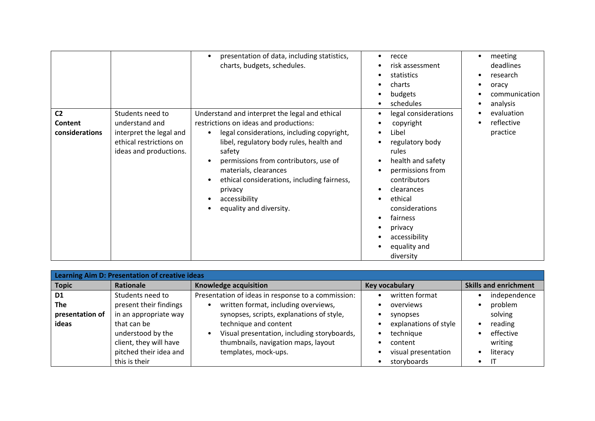|                                             |                                                                                                                    | presentation of data, including statistics,<br>charts, budgets, schedules.                                                                                                                                                                                                                                                                                                        | recce<br>$\bullet$<br>risk assessment<br>statistics<br>charts<br>$\bullet$<br>budgets<br>schedules                                                                                                                                                                        | meeting<br>deadlines<br>research<br>oracy<br>communication<br>analysis |
|---------------------------------------------|--------------------------------------------------------------------------------------------------------------------|-----------------------------------------------------------------------------------------------------------------------------------------------------------------------------------------------------------------------------------------------------------------------------------------------------------------------------------------------------------------------------------|---------------------------------------------------------------------------------------------------------------------------------------------------------------------------------------------------------------------------------------------------------------------------|------------------------------------------------------------------------|
| C <sub>2</sub><br>Content<br>considerations | Students need to<br>understand and<br>interpret the legal and<br>ethical restrictions on<br>ideas and productions. | Understand and interpret the legal and ethical<br>restrictions on ideas and productions:<br>legal considerations, including copyright,<br>$\bullet$<br>libel, regulatory body rules, health and<br>safety<br>permissions from contributors, use of<br>materials, clearances<br>ethical considerations, including fairness,<br>privacy<br>accessibility<br>equality and diversity. | legal considerations<br>$\bullet$<br>copyright<br>Libel<br>regulatory body<br>rules<br>health and safety<br>$\bullet$<br>permissions from<br>contributors<br>clearances<br>ethical<br>considerations<br>fairness<br>privacy<br>accessibility<br>equality and<br>diversity | evaluation<br>reflective<br>practice                                   |

| Learning Aim D: Presentation of creative ideas           |                                                                                                                                                                              |                                                                                                                                                                                                                                                                                |                                                                                                                                |                                                                                                |
|----------------------------------------------------------|------------------------------------------------------------------------------------------------------------------------------------------------------------------------------|--------------------------------------------------------------------------------------------------------------------------------------------------------------------------------------------------------------------------------------------------------------------------------|--------------------------------------------------------------------------------------------------------------------------------|------------------------------------------------------------------------------------------------|
| <b>Topic</b>                                             | Rationale                                                                                                                                                                    | Knowledge acquisition                                                                                                                                                                                                                                                          | <b>Key vocabulary</b>                                                                                                          | <b>Skills and enrichment</b>                                                                   |
| D <sub>1</sub><br><b>The</b><br>presentation of<br>ideas | Students need to<br>present their findings<br>in an appropriate way<br>that can be<br>understood by the<br>client, they will have<br>pitched their idea and<br>this is their | Presentation of ideas in response to a commission:<br>written format, including overviews,<br>synopses, scripts, explanations of style,<br>technique and content<br>Visual presentation, including storyboards,<br>thumbnails, navigation maps, layout<br>templates, mock-ups. | written format<br>overviews<br>synopses<br>explanations of style<br>technique<br>content<br>visual presentation<br>storyboards | independence<br>problem<br>solving<br>reading<br>effective<br>writing<br>literacy<br>$\bullet$ |